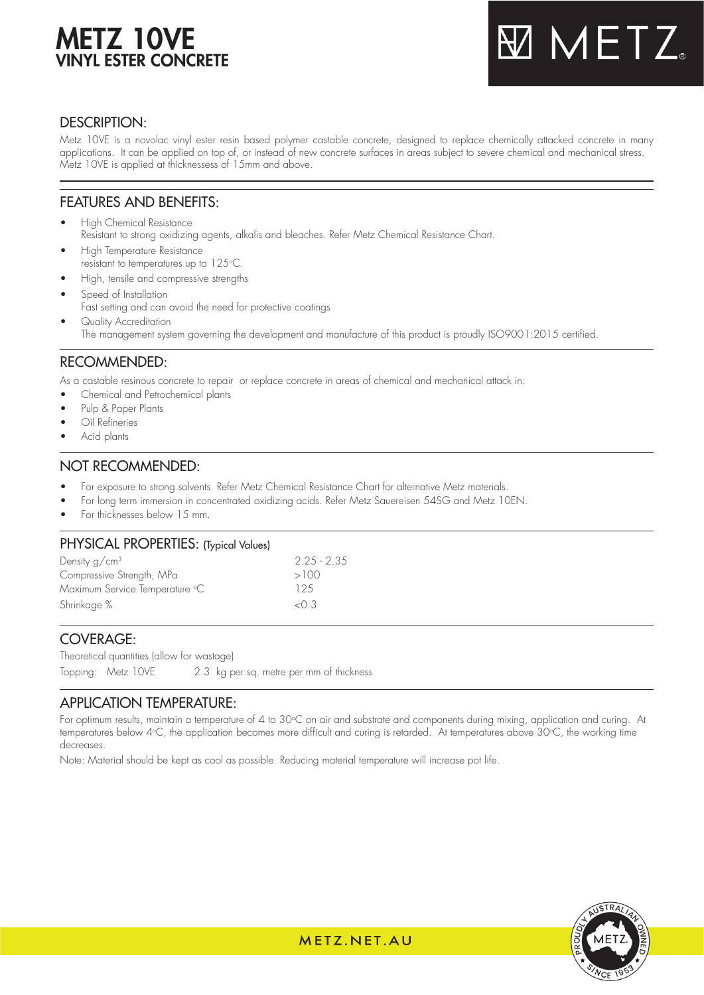# METZ 10VE VINYL ESTER CONCRETE



## DESCRIPTION:

Metz 10VE is a novolac vinyl ester resin based polymer castable concrete, designed to replace chemically attacked concrete in many applications. It can be applied on top of, or instead of new concrete surfaces in areas subject to severe chemical and mechanical stress. Metz 10VE is applied at thicknessess of 15mm and above.

## FEATURES AND BENEFITS:

- High Chemical Resistance Resistant to strong oxidizing agents, alkalis and bleaches. Refer Metz Chemical Resistance Chart.
- High Temperature Resistance resistant to temperatures up to  $125^{\circ}\textrm{C}$ .
- High, tensile and compressive strengths
- Speed of Installation Fast setting and can avoid the need for protective coatings Quality Accreditation
	- The management system governing the development and manufacture of this product is proudly ISO9001:2015 certified.

## RECOMMENDED:

As a castable resinous concrete to repair or replace concrete in areas of chemical and mechanical attack in:

- Chemical and Petrochemical plants
- Pulp & Paper Plants
- Oil Refineries
- Acid plants

## NOT RECOMMENDED:

- For exposure to strong solvents. Refer Metz Chemical Resistance Chart for alternative Metz materials.
- For long term immersion in concentrated oxidizing acids. Refer Metz Sauereisen 54SG and Metz 10EN.
- For thicknesses below 15 mm.

## PHYSICAL PROPERTIES: (Typical Values)

| Density $q/cm3$                | $2.25 - 2.35$ |
|--------------------------------|---------------|
| Compressive Strength, MPa      | >100          |
| Maximum Service Temperature °C | 125           |
| Shrinkage %                    | $<$ 0 3       |
|                                |               |

## COVERAGE:

Theoretical quantities (allow for wastage) Topping: Metz 10VE 2.3 kg per sq. metre per mm of thickness

## APPLICATION TEMPERATURE:

For optimum results, maintain a temperature of 4 to 30°C on air and substrate and components during mixing, application and curing. At temperatures below 4°C, the application becomes more difficult and curing is retarded. At temperatures above 30°C, the working time decreases.

Note: Material should be kept as cool as possible. Reducing material temperature will increase pot life.